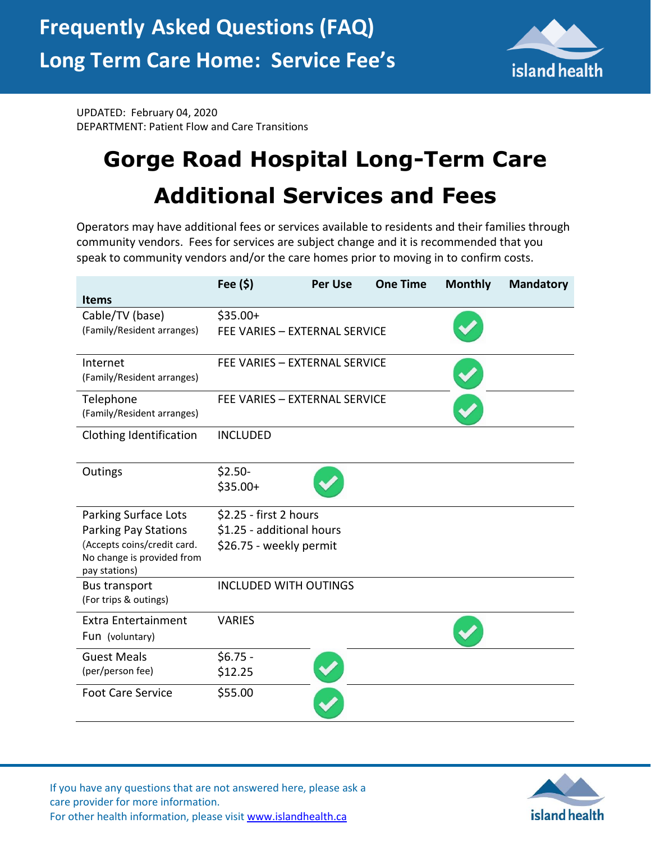

UPDATED: February 04, 2020 DEPARTMENT: Patient Flow and Care Transitions

## **Gorge Road Hospital Long-Term Care Additional Services and Fees**

Operators may have additional fees or services available to residents and their families through community vendors. Fees for services are subject change and it is recommended that you speak to community vendors and/or the care homes prior to moving in to confirm costs.

|                                                                            | Fee (\$)                      | <b>Per Use</b> | <b>One Time</b> | <b>Monthly</b> | <b>Mandatory</b> |
|----------------------------------------------------------------------------|-------------------------------|----------------|-----------------|----------------|------------------|
| <b>Items</b>                                                               |                               |                |                 |                |                  |
| Cable/TV (base)                                                            | $$35.00+$                     |                |                 |                |                  |
| (Family/Resident arranges)                                                 | FEE VARIES - EXTERNAL SERVICE |                |                 |                |                  |
| Internet<br>(Family/Resident arranges)                                     | FEE VARIES - EXTERNAL SERVICE |                |                 |                |                  |
| Telephone<br>(Family/Resident arranges)                                    | FEE VARIES - EXTERNAL SERVICE |                |                 |                |                  |
| Clothing Identification                                                    | <b>INCLUDED</b>               |                |                 |                |                  |
| Outings                                                                    | $$2.50-$                      |                |                 |                |                  |
|                                                                            | $$35.00+$                     |                |                 |                |                  |
| <b>Parking Surface Lots</b>                                                | \$2.25 - first 2 hours        |                |                 |                |                  |
| <b>Parking Pay Stations</b>                                                | \$1.25 - additional hours     |                |                 |                |                  |
| (Accepts coins/credit card.<br>No change is provided from<br>pay stations) | \$26.75 - weekly permit       |                |                 |                |                  |
| <b>Bus transport</b><br>(For trips & outings)                              | <b>INCLUDED WITH OUTINGS</b>  |                |                 |                |                  |
| <b>Extra Entertainment</b>                                                 | <b>VARIES</b>                 |                |                 |                |                  |
| Fun (voluntary)                                                            |                               |                |                 |                |                  |
| <b>Guest Meals</b>                                                         | $$6.75 -$                     |                |                 |                |                  |
| (per/person fee)                                                           | \$12.25                       |                |                 |                |                  |
| <b>Foot Care Service</b>                                                   | \$55.00                       |                |                 |                |                  |

If you have any questions that are not answered here, please ask a care provider for more information. For other health information, please visit [www.islandhealth.ca](http://www.islandhealth.ca/)